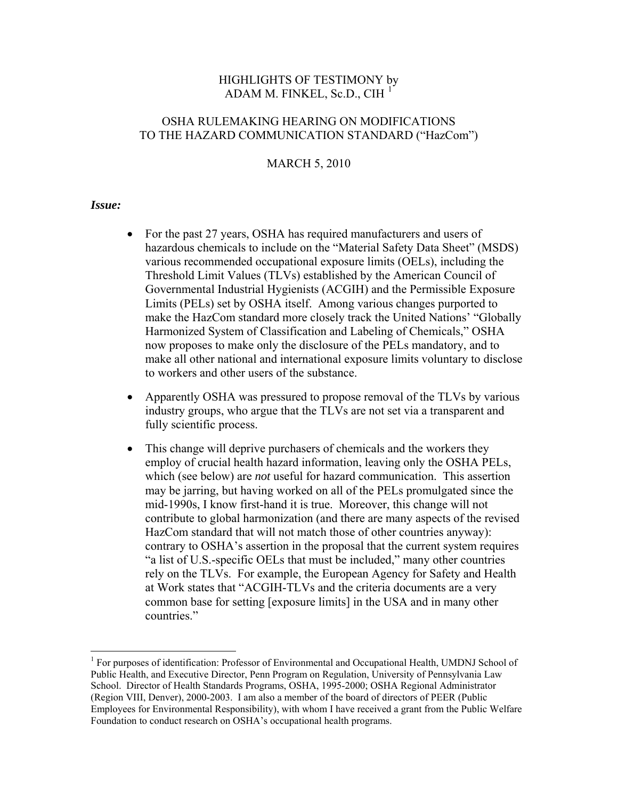# HIGHLIGHTS OF TESTIMONY by ADAM M. FINKEL, Sc.D., CIH $<sup>1</sup>$  $<sup>1</sup>$  $<sup>1</sup>$ </sup>

# OSHA RULEMAKING HEARING ON MODIFICATIONS TO THE HAZARD COMMUNICATION STANDARD ("HazCom")

## MARCH 5, 2010

### *Issue:*

 $\overline{a}$ 

- For the past 27 years, OSHA has required manufacturers and users of hazardous chemicals to include on the "Material Safety Data Sheet" (MSDS) various recommended occupational exposure limits (OELs), including the Threshold Limit Values (TLVs) established by the American Council of Governmental Industrial Hygienists (ACGIH) and the Permissible Exposure Limits (PELs) set by OSHA itself. Among various changes purported to make the HazCom standard more closely track the United Nations' "Globally Harmonized System of Classification and Labeling of Chemicals," OSHA now proposes to make only the disclosure of the PELs mandatory, and to make all other national and international exposure limits voluntary to disclose to workers and other users of the substance.
- Apparently OSHA was pressured to propose removal of the TLVs by various industry groups, who argue that the TLVs are not set via a transparent and fully scientific process.
- This change will deprive purchasers of chemicals and the workers they employ of crucial health hazard information, leaving only the OSHA PELs, which (see below) are *not* useful for hazard communication. This assertion may be jarring, but having worked on all of the PELs promulgated since the mid-1990s, I know first-hand it is true. Moreover, this change will not contribute to global harmonization (and there are many aspects of the revised HazCom standard that will not match those of other countries anyway): contrary to OSHA's assertion in the proposal that the current system requires "a list of U.S.-specific OELs that must be included," many other countries rely on the TLVs. For example, the European Agency for Safety and Health at Work states that "ACGIH-TLVs and the criteria documents are a very common base for setting [exposure limits] in the USA and in many other countries."

<span id="page-0-0"></span><sup>&</sup>lt;sup>1</sup> For purposes of identification: Professor of Environmental and Occupational Health, UMDNJ School of Public Health, and Executive Director, Penn Program on Regulation, University of Pennsylvania Law School. Director of Health Standards Programs, OSHA, 1995-2000; OSHA Regional Administrator (Region VIII, Denver), 2000-2003. I am also a member of the board of directors of PEER (Public Employees for Environmental Responsibility), with whom I have received a grant from the Public Welfare Foundation to conduct research on OSHA's occupational health programs.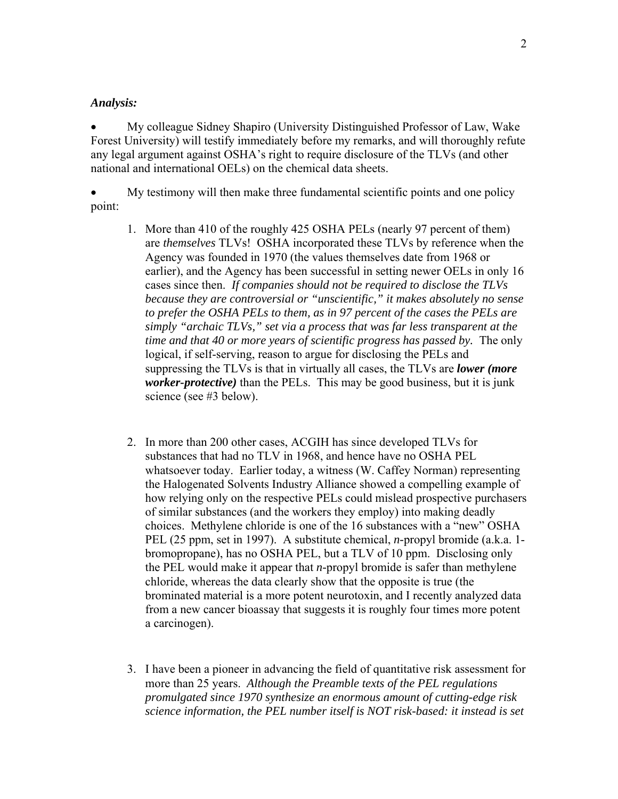## *Analysis:*

• My colleague Sidney Shapiro (University Distinguished Professor of Law, Wake Forest University) will testify immediately before my remarks, and will thoroughly refute any legal argument against OSHA's right to require disclosure of the TLVs (and other national and international OELs) on the chemical data sheets.

• My testimony will then make three fundamental scientific points and one policy point:

- 1. More than 410 of the roughly 425 OSHA PELs (nearly 97 percent of them) are *themselves* TLVs! OSHA incorporated these TLVs by reference when the Agency was founded in 1970 (the values themselves date from 1968 or earlier), and the Agency has been successful in setting newer OELs in only 16 cases since then. *If companies should not be required to disclose the TLVs because they are controversial or "unscientific," it makes absolutely no sense to prefer the OSHA PELs to them, as in 97 percent of the cases the PELs are simply "archaic TLVs," set via a process that was far less transparent at the time and that 40 or more years of scientific progress has passed by.* The only logical, if self-serving, reason to argue for disclosing the PELs and suppressing the TLVs is that in virtually all cases, the TLVs are *lower (more worker-protective)* than the PELs. This may be good business, but it is junk science (see #3 below).
- 2. In more than 200 other cases, ACGIH has since developed TLVs for substances that had no TLV in 1968, and hence have no OSHA PEL whatsoever today. Earlier today, a witness (W. Caffey Norman) representing the Halogenated Solvents Industry Alliance showed a compelling example of how relying only on the respective PELs could mislead prospective purchasers of similar substances (and the workers they employ) into making deadly choices. Methylene chloride is one of the 16 substances with a "new" OSHA PEL (25 ppm, set in 1997). A substitute chemical, *n-*propyl bromide (a.k.a. 1 bromopropane), has no OSHA PEL, but a TLV of 10 ppm. Disclosing only the PEL would make it appear that *n-*propyl bromide is safer than methylene chloride, whereas the data clearly show that the opposite is true (the brominated material is a more potent neurotoxin, and I recently analyzed data from a new cancer bioassay that suggests it is roughly four times more potent a carcinogen).
- 3. I have been a pioneer in advancing the field of quantitative risk assessment for more than 25 years. *Although the Preamble texts of the PEL regulations promulgated since 1970 synthesize an enormous amount of cutting-edge risk science information, the PEL number itself is NOT risk-based: it instead is set*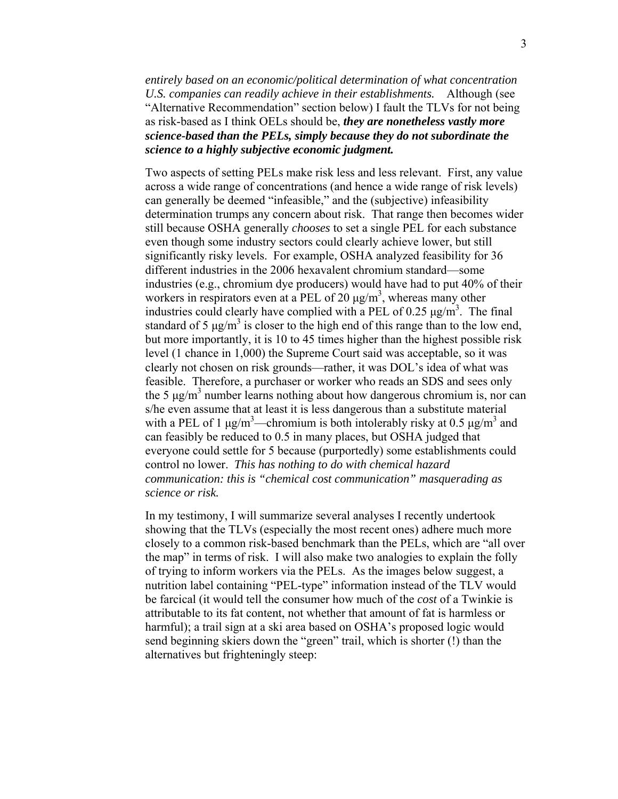*entirely based on an economic/political determination of what concentration U.S. companies can readily achieve in their establishments.* Although (see "Alternative Recommendation" section below) I fault the TLVs for not being as risk-based as I think OELs should be, *they are nonetheless vastly more science-based than the PELs, simply because they do not subordinate the science to a highly subjective economic judgment.*

Two aspects of setting PELs make risk less and less relevant. First, any value across a wide range of concentrations (and hence a wide range of risk levels) can generally be deemed "infeasible," and the (subjective) infeasibility determination trumps any concern about risk. That range then becomes wider still because OSHA generally *chooses* to set a single PEL for each substance even though some industry sectors could clearly achieve lower, but still significantly risky levels. For example, OSHA analyzed feasibility for 36 different industries in the 2006 hexavalent chromium standard—some industries (e.g., chromium dye producers) would have had to put 40% of their workers in respirators even at a PEL of 20  $\mu$ g/m<sup>3</sup>, whereas many other industries could clearly have complied with a PEL of 0.25  $\mu$ g/m<sup>3</sup>. The final standard of 5  $\mu$ g/m<sup>3</sup> is closer to the high end of this range than to the low end, but more importantly, it is 10 to 45 times higher than the highest possible risk level (1 chance in 1,000) the Supreme Court said was acceptable, so it was clearly not chosen on risk grounds—rather, it was DOL's idea of what was feasible. Therefore, a purchaser or worker who reads an SDS and sees only the 5  $\mu$ g/m<sup>3</sup> number learns nothing about how dangerous chromium is, nor can s/he even assume that at least it is less dangerous than a substitute material with a PEL of 1  $\mu$ g/m<sup>3</sup>—chromium is both intolerably risky at 0.5  $\mu$ g/m<sup>3</sup> and can feasibly be reduced to 0.5 in many places, but OSHA judged that everyone could settle for 5 because (purportedly) some establishments could control no lower. *This has nothing to do with chemical hazard communication: this is "chemical cost communication" masquerading as science or risk.* 

In my testimony, I will summarize several analyses I recently undertook showing that the TLVs (especially the most recent ones) adhere much more closely to a common risk-based benchmark than the PELs, which are "all over the map" in terms of risk. I will also make two analogies to explain the folly of trying to inform workers via the PELs. As the images below suggest, a nutrition label containing "PEL-type" information instead of the TLV would be farcical (it would tell the consumer how much of the *cost* of a Twinkie is attributable to its fat content, not whether that amount of fat is harmless or harmful); a trail sign at a ski area based on OSHA's proposed logic would send beginning skiers down the "green" trail, which is shorter (!) than the alternatives but frighteningly steep: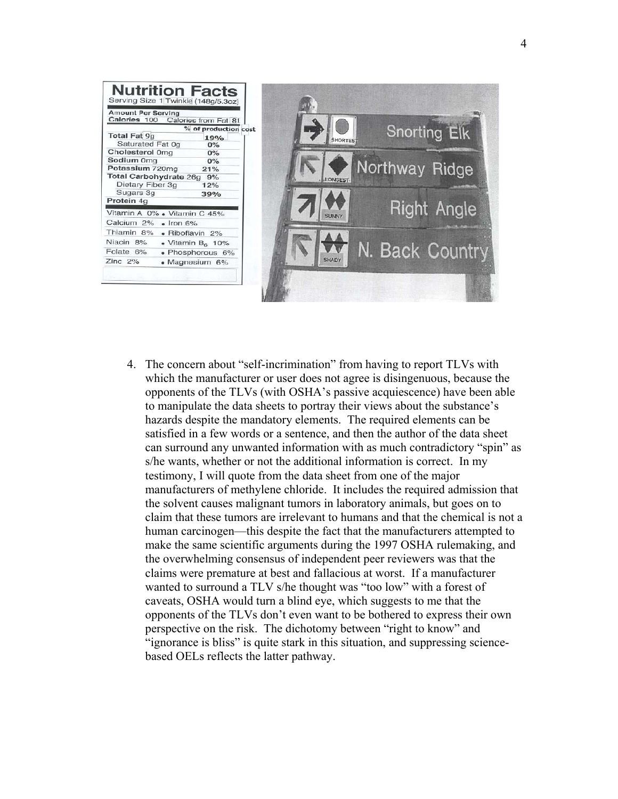

4. The concern about "self-incrimination" from having to report TLVs with which the manufacturer or user does not agree is disingenuous, because the opponents of the TLVs (with OSHA's passive acquiescence) have been able to manipulate the data sheets to portray their views about the substance's hazards despite the mandatory elements. The required elements can be satisfied in a few words or a sentence, and then the author of the data sheet can surround any unwanted information with as much contradictory "spin" as s/he wants, whether or not the additional information is correct. In my testimony, I will quote from the data sheet from one of the major manufacturers of methylene chloride. It includes the required admission that the solvent causes malignant tumors in laboratory animals, but goes on to claim that these tumors are irrelevant to humans and that the chemical is not a human carcinogen—this despite the fact that the manufacturers attempted to make the same scientific arguments during the 1997 OSHA rulemaking, and the overwhelming consensus of independent peer reviewers was that the claims were premature at best and fallacious at worst. If a manufacturer wanted to surround a TLV s/he thought was "too low" with a forest of caveats, OSHA would turn a blind eye, which suggests to me that the opponents of the TLVs don't even want to be bothered to express their own perspective on the risk. The dichotomy between "right to know" and "ignorance is bliss" is quite stark in this situation, and suppressing sciencebased OELs reflects the latter pathway.